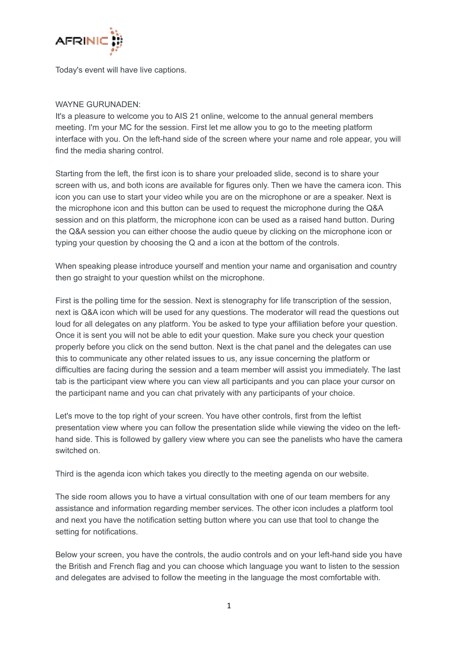

Today's event will have live captions.

# WAYNE GURUNADEN:

It's a pleasure to welcome you to AIS 21 online, welcome to the annual general members meeting. I'm your MC for the session. First let me allow you to go to the meeting platform interface with you. On the left-hand side of the screen where your name and role appear, you will find the media sharing control.

Starting from the left, the first icon is to share your preloaded slide, second is to share your screen with us, and both icons are available for figures only. Then we have the camera icon. This icon you can use to start your video while you are on the microphone or are a speaker. Next is the microphone icon and this button can be used to request the microphone during the Q&A session and on this platform, the microphone icon can be used as a raised hand button. During the Q&A session you can either choose the audio queue by clicking on the microphone icon or typing your question by choosing the Q and a icon at the bottom of the controls.

When speaking please introduce yourself and mention your name and organisation and country then go straight to your question whilst on the microphone.

First is the polling time for the session. Next is stenography for life transcription of the session, next is Q&A icon which will be used for any questions. The moderator will read the questions out loud for all delegates on any platform. You be asked to type your affiliation before your question. Once it is sent you will not be able to edit your question. Make sure you check your question properly before you click on the send button. Next is the chat panel and the delegates can use this to communicate any other related issues to us, any issue concerning the platform or difficulties are facing during the session and a team member will assist you immediately. The last tab is the participant view where you can view all participants and you can place your cursor on the participant name and you can chat privately with any participants of your choice.

Let's move to the top right of your screen. You have other controls, first from the leftist presentation view where you can follow the presentation slide while viewing the video on the lefthand side. This is followed by gallery view where you can see the panelists who have the camera switched on.

Third is the agenda icon which takes you directly to the meeting agenda on our website.

The side room allows you to have a virtual consultation with one of our team members for any assistance and information regarding member services. The other icon includes a platform tool and next you have the notification setting button where you can use that tool to change the setting for notifications.

Below your screen, you have the controls, the audio controls and on your left-hand side you have the British and French flag and you can choose which language you want to listen to the session and delegates are advised to follow the meeting in the language the most comfortable with.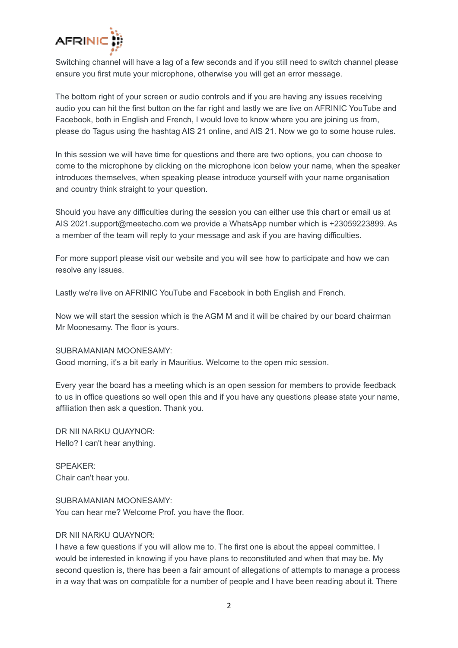

Switching channel will have a lag of a few seconds and if you still need to switch channel please ensure you first mute your microphone, otherwise you will get an error message.

The bottom right of your screen or audio controls and if you are having any issues receiving audio you can hit the first button on the far right and lastly we are live on AFRINIC YouTube and Facebook, both in English and French, I would love to know where you are joining us from, please do Tagus using the hashtag AIS 21 online, and AIS 21. Now we go to some house rules.

In this session we will have time for questions and there are two options, you can choose to come to the microphone by clicking on the microphone icon below your name, when the speaker introduces themselves, when speaking please introduce yourself with your name organisation and country think straight to your question.

Should you have any difficulties during the session you can either use this chart or email us at AIS 2021.support@meetecho.com we provide a WhatsApp number which is +23059223899. As a member of the team will reply to your message and ask if you are having difficulties.

For more support please visit our website and you will see how to participate and how we can resolve any issues.

Lastly we're live on AFRINIC YouTube and Facebook in both English and French.

Now we will start the session which is the AGM M and it will be chaired by our board chairman Mr Moonesamy. The floor is yours.

# SUBRAMANIAN MOONESAMY:

Good morning, it's a bit early in Mauritius. Welcome to the open mic session.

Every year the board has a meeting which is an open session for members to provide feedback to us in office questions so well open this and if you have any questions please state your name, affiliation then ask a question. Thank you.

DR NII NARKU QUAYNOR: Hello? I can't hear anything.

SPEAKER: Chair can't hear you.

# SUBRAMANIAN MOONESAMY:

You can hear me? Welcome Prof. you have the floor.

# DR NII NARKU QUAYNOR:

I have a few questions if you will allow me to. The first one is about the appeal committee. I would be interested in knowing if you have plans to reconstituted and when that may be. My second question is, there has been a fair amount of allegations of attempts to manage a process in a way that was on compatible for a number of people and I have been reading about it. There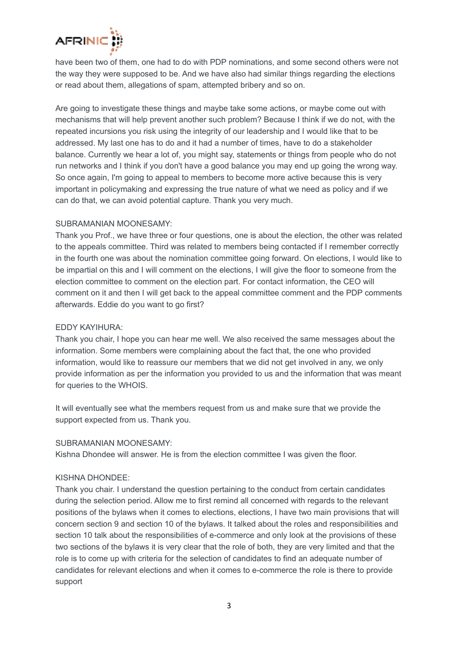

have been two of them, one had to do with PDP nominations, and some second others were not the way they were supposed to be. And we have also had similar things regarding the elections or read about them, allegations of spam, attempted bribery and so on.

Are going to investigate these things and maybe take some actions, or maybe come out with mechanisms that will help prevent another such problem? Because I think if we do not, with the repeated incursions you risk using the integrity of our leadership and I would like that to be addressed. My last one has to do and it had a number of times, have to do a stakeholder balance. Currently we hear a lot of, you might say, statements or things from people who do not run networks and I think if you don't have a good balance you may end up going the wrong way. So once again, I'm going to appeal to members to become more active because this is very important in policymaking and expressing the true nature of what we need as policy and if we can do that, we can avoid potential capture. Thank you very much.

# SUBRAMANIAN MOONESAMY:

Thank you Prof., we have three or four questions, one is about the election, the other was related to the appeals committee. Third was related to members being contacted if I remember correctly in the fourth one was about the nomination committee going forward. On elections, I would like to be impartial on this and I will comment on the elections, I will give the floor to someone from the election committee to comment on the election part. For contact information, the CEO will comment on it and then I will get back to the appeal committee comment and the PDP comments afterwards. Eddie do you want to go first?

# EDDY KAYIHURA:

Thank you chair, I hope you can hear me well. We also received the same messages about the information. Some members were complaining about the fact that, the one who provided information, would like to reassure our members that we did not get involved in any, we only provide information as per the information you provided to us and the information that was meant for queries to the WHOIS.

It will eventually see what the members request from us and make sure that we provide the support expected from us. Thank you.

# SUBRAMANIAN MOONESAMY:

Kishna Dhondee will answer. He is from the election committee I was given the floor.

# KISHNA DHONDEE:

Thank you chair. I understand the question pertaining to the conduct from certain candidates during the selection period. Allow me to first remind all concerned with regards to the relevant positions of the bylaws when it comes to elections, elections, I have two main provisions that will concern section 9 and section 10 of the bylaws. It talked about the roles and responsibilities and section 10 talk about the responsibilities of e-commerce and only look at the provisions of these two sections of the bylaws it is very clear that the role of both, they are very limited and that the role is to come up with criteria for the selection of candidates to find an adequate number of candidates for relevant elections and when it comes to e-commerce the role is there to provide support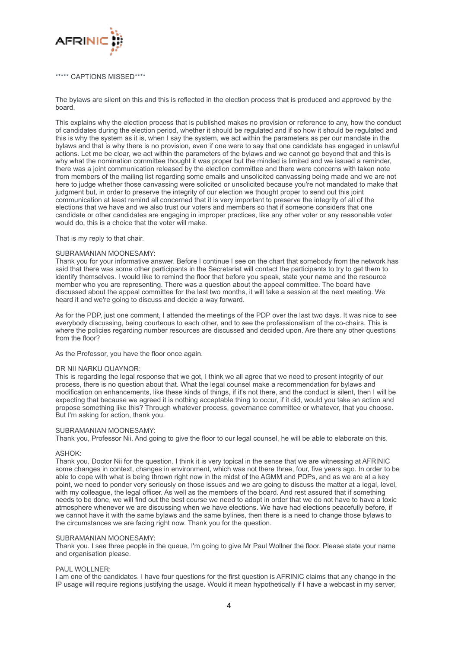

## \*\*\*\*\* CAPTIONS MISSED\*\*\*\*

The bylaws are silent on this and this is reflected in the election process that is produced and approved by the board.

This explains why the election process that is published makes no provision or reference to any, how the conduct of candidates during the election period, whether it should be regulated and if so how it should be regulated and this is why the system as it is, when I say the system, we act within the parameters as per our mandate in the bylaws and that is why there is no provision, even if one were to say that one candidate has engaged in unlawful actions. Let me be clear, we act within the parameters of the bylaws and we cannot go beyond that and this is why what the nomination committee thought it was proper but the minded is limited and we issued a reminder, there was a joint communication released by the election committee and there were concerns with taken note from members of the mailing list regarding some emails and unsolicited canvassing being made and we are not here to judge whether those canvassing were solicited or unsolicited because you're not mandated to make that judgment but, in order to preserve the integrity of our election we thought proper to send out this joint communication at least remind all concerned that it is very important to preserve the integrity of all of the elections that we have and we also trust our voters and members so that if someone considers that one candidate or other candidates are engaging in improper practices, like any other voter or any reasonable voter would do, this is a choice that the voter will make.

## That is my reply to that chair.

## SUBRAMANIAN MOONESAMY:

Thank you for your informative answer. Before I continue I see on the chart that somebody from the network has said that there was some other participants in the Secretariat will contact the participants to try to get them to identify themselves. I would like to remind the floor that before you speak, state your name and the resource member who you are representing. There was a question about the appeal committee. The board have discussed about the appeal committee for the last two months, it will take a session at the next meeting. We heard it and we're going to discuss and decide a way forward.

As for the PDP, just one comment, I attended the meetings of the PDP over the last two days. It was nice to see everybody discussing, being courteous to each other, and to see the professionalism of the co-chairs. This is where the policies regarding number resources are discussed and decided upon. Are there any other questions from the floor?

As the Professor, you have the floor once again.

#### DR NII NARKU QUAYNOR:

This is regarding the legal response that we got, I think we all agree that we need to present integrity of our process, there is no question about that. What the legal counsel make a recommendation for bylaws and modification on enhancements, like these kinds of things, if it's not there, and the conduct is silent, then I will be expecting that because we agreed it is nothing acceptable thing to occur, if it did, would you take an action and propose something like this? Through whatever process, governance committee or whatever, that you choose. But I'm asking for action, thank you.

#### SUBRAMANIAN MOONESAMY:

Thank you, Professor Nii. And going to give the floor to our legal counsel, he will be able to elaborate on this.

#### ASHOK:

Thank you, Doctor Nii for the question. I think it is very topical in the sense that we are witnessing at AFRINIC some changes in context, changes in environment, which was not there three, four, five years ago. In order to be able to cope with what is being thrown right now in the midst of the AGMM and PDPs, and as we are at a key point, we need to ponder very seriously on those issues and we are going to discuss the matter at a legal, level, with my colleague, the legal officer. As well as the members of the board. And rest assured that if something needs to be done, we will find out the best course we need to adopt in order that we do not have to have a toxic atmosphere whenever we are discussing when we have elections. We have had elections peacefully before, if we cannot have it with the same bylaws and the same bylines, then there is a need to change those bylaws to the circumstances we are facing right now. Thank you for the question.

#### SUBRAMANIAN MOONESAMY:

Thank you. I see three people in the queue, I'm going to give Mr Paul Wollner the floor. Please state your name and organisation please.

#### PAUL WOLLNER:

I am one of the candidates. I have four questions for the first question is AFRINIC claims that any change in the IP usage will require regions justifying the usage. Would it mean hypothetically if I have a webcast in my server,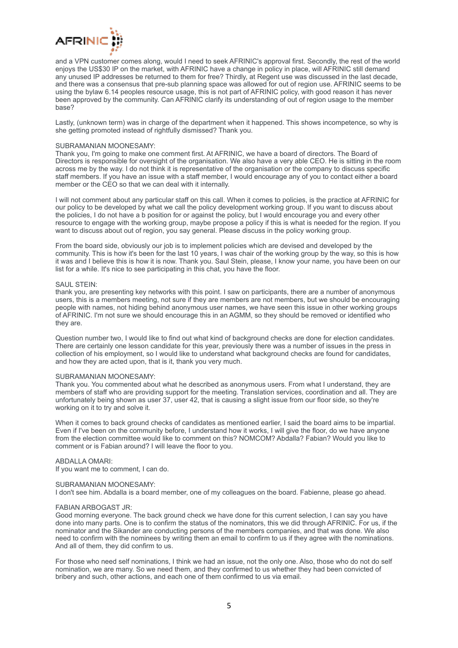

and a VPN customer comes along, would I need to seek AFRINIC's approval first. Secondly, the rest of the world enjoys the US\$30 IP on the market, with AFRINIC have a change in policy in place, will AFRINIC still demand any unused IP addresses be returned to them for free? Thirdly, at Regent use was discussed in the last decade, and there was a consensus that pre-sub planning space was allowed for out of region use. AFRINIC seems to be using the bylaw 6.14 peoples resource usage, this is not part of AFRINIC policy, with good reason it has never been approved by the community. Can AFRINIC clarify its understanding of out of region usage to the member base?

Lastly, (unknown term) was in charge of the department when it happened. This shows incompetence, so why is she getting promoted instead of rightfully dismissed? Thank you.

## SUBRAMANIAN MOONESAMY:

Thank you, I'm going to make one comment first. At AFRINIC, we have a board of directors. The Board of Directors is responsible for oversight of the organisation. We also have a very able CEO. He is sitting in the room across me by the way. I do not think it is representative of the organisation or the company to discuss specific staff members. If you have an issue with a staff member, I would encourage any of you to contact either a board member or the CEO so that we can deal with it internally.

I will not comment about any particular staff on this call. When it comes to policies, is the practice at AFRINIC for our policy to be developed by what we call the policy development working group. If you want to discuss about the policies, I do not have a b position for or against the policy, but I would encourage you and every other resource to engage with the working group, maybe propose a policy if this is what is needed for the region. If you want to discuss about out of region, you say general. Please discuss in the policy working group.

From the board side, obviously our job is to implement policies which are devised and developed by the community. This is how it's been for the last 10 years, I was chair of the working group by the way, so this is how it was and I believe this is how it is now. Thank you. Saul Stein, please, I know your name, you have been on our list for a while. It's nice to see participating in this chat, you have the floor.

## SAUL STEIN<sup>.</sup>

thank you, are presenting key networks with this point. I saw on participants, there are a number of anonymous users, this is a members meeting, not sure if they are members are not members, but we should be encouraging people with names, not hiding behind anonymous user names, we have seen this issue in other working groups of AFRINIC. I'm not sure we should encourage this in an AGMM, so they should be removed or identified who they are.

Question number two, I would like to find out what kind of background checks are done for election candidates. There are certainly one lesson candidate for this year, previously there was a number of issues in the press in collection of his employment, so I would like to understand what background checks are found for candidates, and how they are acted upon, that is it, thank you very much.

#### SUBRAMANIAN MOONESAMY:

Thank you. You commented about what he described as anonymous users. From what I understand, they are members of staff who are providing support for the meeting. Translation services, coordination and all. They are unfortunately being shown as user 37, user 42, that is causing a slight issue from our floor side, so they're working on it to try and solve it.

When it comes to back ground checks of candidates as mentioned earlier, I said the board aims to be impartial. Even if I've been on the community before, I understand how it works, I will give the floor, do we have anyone from the election committee would like to comment on this? NOMCOM? Abdalla? Fabian? Would you like to comment or is Fabian around? I will leave the floor to you.

## ABDALLA OMARI:

If you want me to comment, I can do.

### SUBRAMANIAN MOONESAMY:

I don't see him. Abdalla is a board member, one of my colleagues on the board. Fabienne, please go ahead.

#### FABIAN ARBOGAST JR:

Good morning everyone. The back ground check we have done for this current selection, I can say you have done into many parts. One is to confirm the status of the nominators, this we did through AFRINIC. For us, if the nominator and the Sikander are conducting persons of the members companies, and that was done. We also need to confirm with the nominees by writing them an email to confirm to us if they agree with the nominations. And all of them, they did confirm to us.

For those who need self nominations, I think we had an issue, not the only one. Also, those who do not do self nomination, we are many. So we need them, and they confirmed to us whether they had been convicted of bribery and such, other actions, and each one of them confirmed to us via email.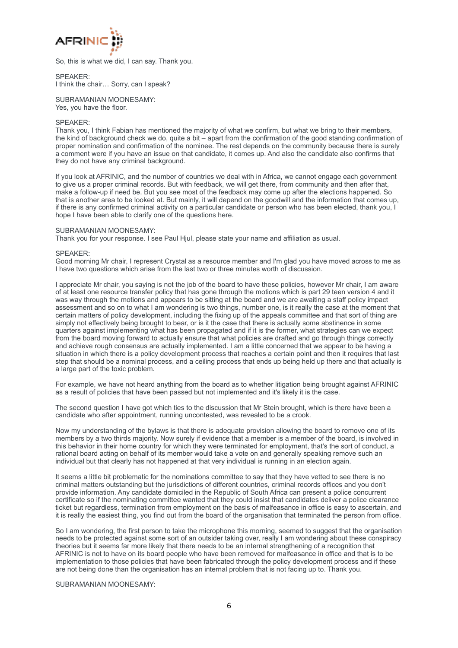

So, this is what we did, I can say. Thank you.

SPEAKER: I think the chair… Sorry, can I speak?

SUBRAMANIAN MOONESAMY: Yes, you have the floor.

## SPEAKER:

Thank you, I think Fabian has mentioned the majority of what we confirm, but what we bring to their members, the kind of background check we do, quite a bit – apart from the confirmation of the good standing confirmation of proper nomination and confirmation of the nominee. The rest depends on the community because there is surely a comment were if you have an issue on that candidate, it comes up. And also the candidate also confirms that they do not have any criminal background.

If you look at AFRINIC, and the number of countries we deal with in Africa, we cannot engage each government to give us a proper criminal records. But with feedback, we will get there, from community and then after that, make a follow-up if need be. But you see most of the feedback may come up after the elections happened. So that is another area to be looked at. But mainly, it will depend on the goodwill and the information that comes up, if there is any confirmed criminal activity on a particular candidate or person who has been elected, thank you, I hope I have been able to clarify one of the questions here.

## SUBRAMANIAN MOONESAMY:

Thank you for your response. I see Paul Hjul, please state your name and affiliation as usual.

## SPEAKER:

Good morning Mr chair, I represent Crystal as a resource member and I'm glad you have moved across to me as I have two questions which arise from the last two or three minutes worth of discussion.

I appreciate Mr chair, you saying is not the job of the board to have these policies, however Mr chair, I am aware of at least one resource transfer policy that has gone through the motions which is part 29 teen version 4 and it was way through the motions and appears to be sitting at the board and we are awaiting a staff policy impact assessment and so on to what I am wondering is two things, number one, is it really the case at the moment that certain matters of policy development, including the fixing up of the appeals committee and that sort of thing are simply not effectively being brought to bear, or is it the case that there is actually some abstinence in some quarters against implementing what has been propagated and if it is the former, what strategies can we expect from the board moving forward to actually ensure that what policies are drafted and go through things correctly and achieve rough consensus are actually implemented. I am a little concerned that we appear to be having a situation in which there is a policy development process that reaches a certain point and then it requires that last step that should be a nominal process, and a ceiling process that ends up being held up there and that actually is a large part of the toxic problem.

For example, we have not heard anything from the board as to whether litigation being brought against AFRINIC as a result of policies that have been passed but not implemented and it's likely it is the case.

The second question I have got which ties to the discussion that Mr Stein brought, which is there have been a candidate who after appointment, running uncontested, was revealed to be a crook.

Now my understanding of the bylaws is that there is adequate provision allowing the board to remove one of its members by a two thirds majority. Now surely if evidence that a member is a member of the board, is involved in this behavior in their home country for which they were terminated for employment, that's the sort of conduct, a rational board acting on behalf of its member would take a vote on and generally speaking remove such an individual but that clearly has not happened at that very individual is running in an election again.

It seems a little bit problematic for the nominations committee to say that they have vetted to see there is no criminal matters outstanding but the jurisdictions of different countries, criminal records offices and you don't provide information. Any candidate domiciled in the Republic of South Africa can present a police concurrent certificate so if the nominating committee wanted that they could insist that candidates deliver a police clearance ticket but regardless, termination from employment on the basis of malfeasance in office is easy to ascertain, and it is really the easiest thing, you find out from the board of the organisation that terminated the person from office.

So I am wondering, the first person to take the microphone this morning, seemed to suggest that the organisation needs to be protected against some sort of an outsider taking over, really I am wondering about these conspiracy theories but it seems far more likely that there needs to be an internal strengthening of a recognition that AFRINIC is not to have on its board people who have been removed for malfeasance in office and that is to be implementation to those policies that have been fabricated through the policy development process and if these are not being done than the organisation has an internal problem that is not facing up to. Thank you.

SUBRAMANIAN MOONESAMY: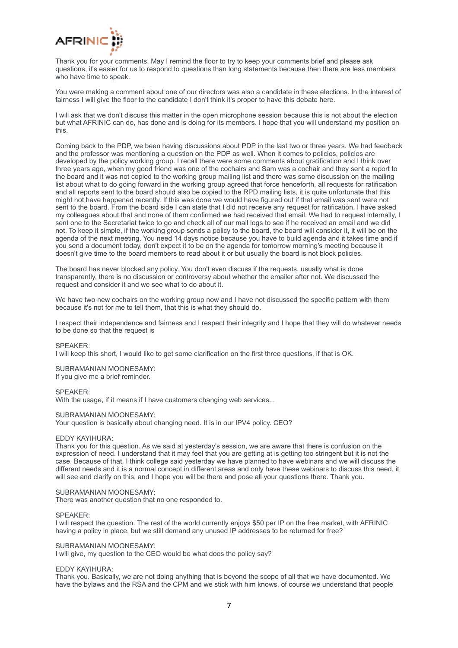

Thank you for your comments. May I remind the floor to try to keep your comments brief and please ask questions, it's easier for us to respond to questions than long statements because then there are less members who have time to speak.

You were making a comment about one of our directors was also a candidate in these elections. In the interest of fairness I will give the floor to the candidate I don't think it's proper to have this debate here.

I will ask that we don't discuss this matter in the open microphone session because this is not about the election but what AFRINIC can do, has done and is doing for its members. I hope that you will understand my position on this.

Coming back to the PDP, we been having discussions about PDP in the last two or three years. We had feedback and the professor was mentioning a question on the PDP as well. When it comes to policies, policies are developed by the policy working group. I recall there were some comments about gratification and I think over three years ago, when my good friend was one of the cochairs and Sam was a cochair and they sent a report to the board and it was not copied to the working group mailing list and there was some discussion on the mailing list about what to do going forward in the working group agreed that force henceforth, all requests for ratification and all reports sent to the board should also be copied to the RPD mailing lists, it is quite unfortunate that this might not have happened recently. If this was done we would have figured out if that email was sent were not sent to the board. From the board side I can state that I did not receive any request for ratification. I have asked my colleagues about that and none of them confirmed we had received that email. We had to request internally, I sent one to the Secretariat twice to go and check all of our mail logs to see if he received an email and we did not. To keep it simple, if the working group sends a policy to the board, the board will consider it, it will be on the agenda of the next meeting. You need 14 days notice because you have to build agenda and it takes time and if you send a document today, don't expect it to be on the agenda for tomorrow morning's meeting because it doesn't give time to the board members to read about it or but usually the board is not block policies.

The board has never blocked any policy. You don't even discuss if the requests, usually what is done transparently, there is no discussion or controversy about whether the emailer after not. We discussed the request and consider it and we see what to do about it.

We have two new cochairs on the working group now and I have not discussed the specific pattern with them because it's not for me to tell them, that this is what they should do.

I respect their independence and fairness and I respect their integrity and I hope that they will do whatever needs to be done so that the request is

#### SPEAKER:

I will keep this short, I would like to get some clarification on the first three questions, if that is OK.

SUBRAMANIAN MOONESAMY: If you give me a brief reminder.

## SPEAKER:

With the usage, if it means if I have customers changing web services...

#### SUBRAMANIAN MOONESAMY:

Your question is basically about changing need. It is in our IPV4 policy. CEO?

#### EDDY KAYIHURA:

Thank you for this question. As we said at yesterday's session, we are aware that there is confusion on the expression of need. I understand that it may feel that you are getting at is getting too stringent but it is not the case. Because of that, I think college said yesterday we have planned to have webinars and we will discuss the different needs and it is a normal concept in different areas and only have these webinars to discuss this need, it will see and clarify on this, and I hope you will be there and pose all your questions there. Thank you.

#### SUBRAMANIAN MOONESAMY:

There was another question that no one responded to.

#### SPEAKER:

I will respect the question. The rest of the world currently enjoys \$50 per IP on the free market, with AFRINIC having a policy in place, but we still demand any unused IP addresses to be returned for free?

#### SUBRAMANIAN MOONESAMY:

I will give, my question to the CEO would be what does the policy say?

#### EDDY KAYIHURA:

Thank you. Basically, we are not doing anything that is beyond the scope of all that we have documented. We have the bylaws and the RSA and the CPM and we stick with him knows, of course we understand that people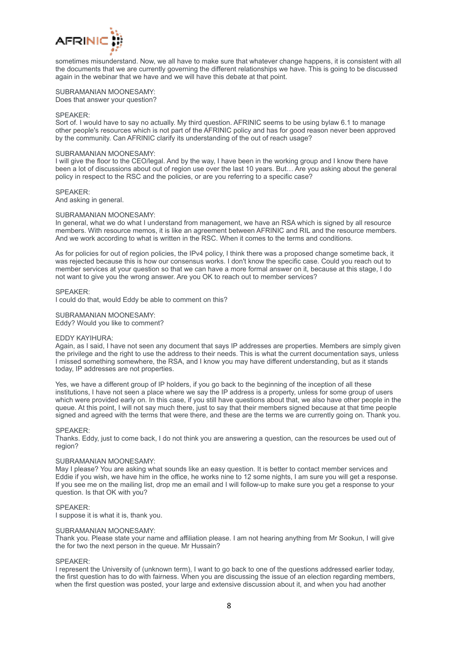

sometimes misunderstand. Now, we all have to make sure that whatever change happens, it is consistent with all the documents that we are currently governing the different relationships we have. This is going to be discussed again in the webinar that we have and we will have this debate at that point.

SUBRAMANIAN MOONESAMY: Does that answer your question?

## SPEAKER:

Sort of. I would have to say no actually. My third question. AFRINIC seems to be using bylaw 6.1 to manage other people's resources which is not part of the AFRINIC policy and has for good reason never been approved by the community. Can AFRINIC clarify its understanding of the out of reach usage?

## SUBRAMANIAN MOONESAMY:

I will give the floor to the CEO/legal. And by the way, I have been in the working group and I know there have been a lot of discussions about out of region use over the last 10 years. But… Are you asking about the general policy in respect to the RSC and the policies, or are you referring to a specific case?

## SPEAKER:

And asking in general.

## SUBRAMANIAN MOONESAMY:

In general, what we do what I understand from management, we have an RSA which is signed by all resource members. With resource memos, it is like an agreement between AFRINIC and RIL and the resource members. And we work according to what is written in the RSC. When it comes to the terms and conditions.

As for policies for out of region policies, the IPv4 policy, I think there was a proposed change sometime back, it was rejected because this is how our consensus works. I don't know the specific case. Could you reach out to member services at your question so that we can have a more formal answer on it, because at this stage, I do not want to give you the wrong answer. Are you OK to reach out to member services?

## SPEAKER:

I could do that, would Eddy be able to comment on this?

## SUBRAMANIAN MOONESAMY:

Eddy? Would you like to comment?

## EDDY KAYIHURA:

Again, as I said, I have not seen any document that says IP addresses are properties. Members are simply given the privilege and the right to use the address to their needs. This is what the current documentation says, unless I missed something somewhere, the RSA, and I know you may have different understanding, but as it stands today, IP addresses are not properties.

Yes, we have a different group of IP holders, if you go back to the beginning of the inception of all these institutions, I have not seen a place where we say the IP address is a property, unless for some group of users which were provided early on. In this case, if you still have questions about that, we also have other people in the queue. At this point, I will not say much there, just to say that their members signed because at that time people signed and agreed with the terms that were there, and these are the terms we are currently going on. Thank you.

#### SPEAKER:

Thanks. Eddy, just to come back, I do not think you are answering a question, can the resources be used out of region?

#### SUBRAMANIAN MOONESAMY:

May I please? You are asking what sounds like an easy question. It is better to contact member services and Eddie if you wish, we have him in the office, he works nine to 12 some nights, I am sure you will get a response. If you see me on the mailing list, drop me an email and I will follow-up to make sure you get a response to your question. Is that OK with you?

#### SPEAKER:

I suppose it is what it is, thank you.

#### SUBRAMANIAN MOONESAMY:

Thank you. Please state your name and affiliation please. I am not hearing anything from Mr Sookun, I will give the for two the next person in the queue. Mr Hussain?

#### SPEAKER:

I represent the University of (unknown term), I want to go back to one of the questions addressed earlier today, the first question has to do with fairness. When you are discussing the issue of an election regarding members, when the first question was posted, your large and extensive discussion about it, and when you had another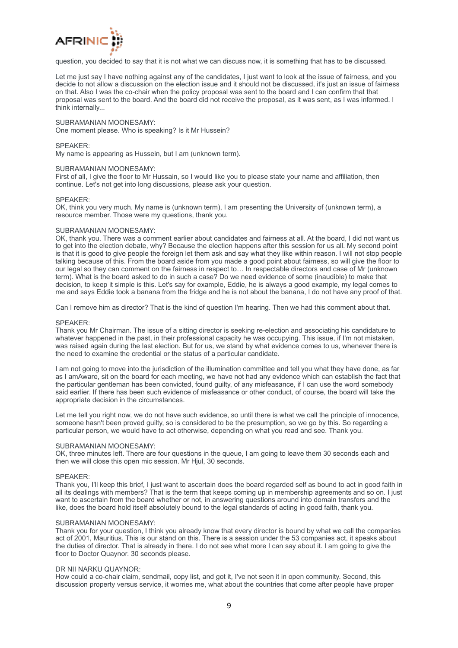

question, you decided to say that it is not what we can discuss now, it is something that has to be discussed.

Let me just say I have nothing against any of the candidates, I just want to look at the issue of fairness, and you decide to not allow a discussion on the election issue and it should not be discussed, it's just an issue of fairness on that. Also I was the co-chair when the policy proposal was sent to the board and I can confirm that that proposal was sent to the board. And the board did not receive the proposal, as it was sent, as I was informed. I think internally...

### SUBRAMANIAN MOONESAMY:

One moment please. Who is speaking? Is it Mr Hussein?

## SPEAKER:

My name is appearing as Hussein, but I am (unknown term).

#### SUBRAMANIAN MOONESAMY:

First of all, I give the floor to Mr Hussain, so I would like you to please state your name and affiliation, then continue. Let's not get into long discussions, please ask your question.

### SPEAKER:

OK, think you very much. My name is (unknown term), I am presenting the University of (unknown term), a resource member. Those were my questions, thank you.

## SUBRAMANIAN MOONESAMY:

OK, thank you. There was a comment earlier about candidates and fairness at all. At the board, I did not want us to get into the election debate, why? Because the election happens after this session for us all. My second point is that it is good to give people the foreign let them ask and say what they like within reason. I will not stop people talking because of this. From the board aside from you made a good point about fairness, so will give the floor to our legal so they can comment on the fairness in respect to… In respectable directors and case of Mr (unknown term). What is the board asked to do in such a case? Do we need evidence of some (inaudible) to make that decision, to keep it simple is this. Let's say for example, Eddie, he is always a good example, my legal comes to me and says Eddie took a banana from the fridge and he is not about the banana, I do not have any proof of that.

Can I remove him as director? That is the kind of question I'm hearing. Then we had this comment about that.

#### SPEAKER:

Thank you Mr Chairman. The issue of a sitting director is seeking re-election and associating his candidature to whatever happened in the past, in their professional capacity he was occupying. This issue, if I'm not mistaken, was raised again during the last election. But for us, we stand by what evidence comes to us, whenever there is the need to examine the credential or the status of a particular candidate.

I am not going to move into the jurisdiction of the illumination committee and tell you what they have done, as far as I amAware, sit on the board for each meeting, we have not had any evidence which can establish the fact that the particular gentleman has been convicted, found guilty, of any misfeasance, if I can use the word somebody said earlier. If there has been such evidence of misfeasance or other conduct, of course, the board will take the appropriate decision in the circumstances.

Let me tell you right now, we do not have such evidence, so until there is what we call the principle of innocence, someone hasn't been proved guilty, so is considered to be the presumption, so we go by this. So regarding a particular person, we would have to act otherwise, depending on what you read and see. Thank you.

#### SUBRAMANIAN MOONESAMY:

OK, three minutes left. There are four questions in the queue, I am going to leave them 30 seconds each and then we will close this open mic session. Mr Hjul, 30 seconds.

#### SPEAKER:

Thank you, I'll keep this brief, I just want to ascertain does the board regarded self as bound to act in good faith in all its dealings with members? That is the term that keeps coming up in membership agreements and so on. I just want to ascertain from the board whether or not, in answering questions around into domain transfers and the like, does the board hold itself absolutely bound to the legal standards of acting in good faith, thank you.

#### SUBRAMANIAN MOONESAMY:

Thank you for your question, I think you already know that every director is bound by what we call the companies act of 2001, Mauritius. This is our stand on this. There is a session under the 53 companies act, it speaks about the duties of director. That is already in there. I do not see what more I can say about it. I am going to give the floor to Doctor Quaynor. 30 seconds please.

## DR NII NARKU QUAYNOR:

How could a co-chair claim, sendmail, copy list, and got it, I've not seen it in open community. Second, this discussion property versus service, it worries me, what about the countries that come after people have proper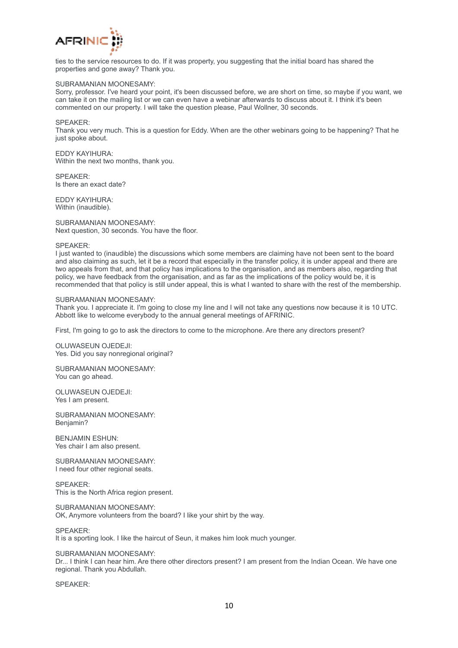

ties to the service resources to do. If it was property, you suggesting that the initial board has shared the properties and gone away? Thank you.

### SUBRAMANIAN MOONESAMY:

Sorry, professor. I've heard your point, it's been discussed before, we are short on time, so maybe if you want, we can take it on the mailing list or we can even have a webinar afterwards to discuss about it. I think it's been commented on our property. I will take the question please, Paul Wollner, 30 seconds.

SPEAKER:

Thank you very much. This is a question for Eddy. When are the other webinars going to be happening? That he just spoke about.

EDDY KAYIHURA: Within the next two months, thank you.

SPEAKER: Is there an exact date?

EDDY KAYIHURA: Within (inaudible).

SUBRAMANIAN MOONESAMY: Next question, 30 seconds. You have the floor.

## SPEAKER:

I just wanted to (inaudible) the discussions which some members are claiming have not been sent to the board and also claiming as such, let it be a record that especially in the transfer policy, it is under appeal and there are two appeals from that, and that policy has implications to the organisation, and as members also, regarding that policy, we have feedback from the organisation, and as far as the implications of the policy would be, it is recommended that that policy is still under appeal, this is what I wanted to share with the rest of the membership.

## SUBRAMANIAN MOONESAMY:

Thank you. I appreciate it. I'm going to close my line and I will not take any questions now because it is 10 UTC. Abbott like to welcome everybody to the annual general meetings of AFRINIC.

First, I'm going to go to ask the directors to come to the microphone. Are there any directors present?

OLUWASEUN OJEDEJI: Yes. Did you say nonregional original?

SUBRAMANIAN MOONESAMY: You can go ahead.

OLUWASEUN OJEDEJI: Yes I am present.

SUBRAMANIAN MOONESAMY: Benjamin?

BENJAMIN ESHUN: Yes chair I am also present.

SUBRAMANIAN MOONESAMY: I need four other regional seats.

SPEAKER: This is the North Africa region present.

SUBRAMANIAN MOONESAMY:

OK, Anymore volunteers from the board? I like your shirt by the way.

SPEAKER:

It is a sporting look. I like the haircut of Seun, it makes him look much younger.

SUBRAMANIAN MOONESAMY:

Dr... I think I can hear him. Are there other directors present? I am present from the Indian Ocean. We have one regional. Thank you Abdullah.

SPEAKER: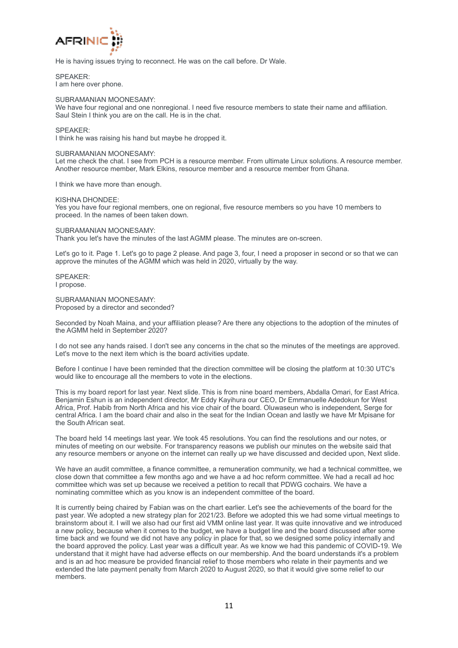

He is having issues trying to reconnect. He was on the call before. Dr Wale.

SPEAKER: I am here over phone.

## SUBRAMANIAN MOONESAMY:

We have four regional and one nonregional. I need five resource members to state their name and affiliation. Saul Stein I think you are on the call. He is in the chat.

## SPEAKER:

I think he was raising his hand but maybe he dropped it.

## SUBRAMANIAN MOONESAMY:

Let me check the chat. I see from PCH is a resource member. From ultimate Linux solutions. A resource member. Another resource member, Mark Elkins, resource member and a resource member from Ghana.

I think we have more than enough.

KISHNA DHONDEE:

Yes you have four regional members, one on regional, five resource members so you have 10 members to proceed. In the names of been taken down.

SUBRAMANIAN MOONESAMY:

Thank you let's have the minutes of the last AGMM please. The minutes are on-screen.

Let's go to it. Page 1. Let's go to page 2 please. And page 3, four, I need a proposer in second or so that we can approve the minutes of the AGMM which was held in 2020, virtually by the way.

SPEAKER: I propose.

SUBRAMANIAN MOONESAMY: Proposed by a director and seconded?

Seconded by Noah Maina, and your affiliation please? Are there any objections to the adoption of the minutes of the AGMM held in September 2020?

I do not see any hands raised. I don't see any concerns in the chat so the minutes of the meetings are approved. Let's move to the next item which is the board activities update.

Before I continue I have been reminded that the direction committee will be closing the platform at 10:30 UTC's would like to encourage all the members to vote in the elections.

This is my board report for last year. Next slide. This is from nine board members, Abdalla Omari, for East Africa. Benjamin Eshun is an independent director, Mr Eddy Kayihura our CEO, Dr Emmanuelle Adedokun for West Africa, Prof. Habib from North Africa and his vice chair of the board. Oluwaseun who is independent, Serge for central Africa. I am the board chair and also in the seat for the Indian Ocean and lastly we have Mr Mpisane for the South African seat.

The board held 14 meetings last year. We took 45 resolutions. You can find the resolutions and our notes, or minutes of meeting on our website. For transparency reasons we publish our minutes on the website said that any resource members or anyone on the internet can really up we have discussed and decided upon, Next slide.

We have an audit committee, a finance committee, a remuneration community, we had a technical committee, we close down that committee a few months ago and we have a ad hoc reform committee. We had a recall ad hoc committee which was set up because we received a petition to recall that PDWG cochairs. We have a nominating committee which as you know is an independent committee of the board.

It is currently being chaired by Fabian was on the chart earlier. Let's see the achievements of the board for the past year. We adopted a new strategy plan for 2021/23. Before we adopted this we had some virtual meetings to brainstorm about it. I will we also had our first aid VMM online last year. It was quite innovative and we introduced a new policy, because when it comes to the budget, we have a budget line and the board discussed after some time back and we found we did not have any policy in place for that, so we designed some policy internally and the board approved the policy. Last year was a difficult year. As we know we had this pandemic of COVID-19. We understand that it might have had adverse effects on our membership. And the board understands it's a problem and is an ad hoc measure be provided financial relief to those members who relate in their payments and we extended the late payment penalty from March 2020 to August 2020, so that it would give some relief to our members.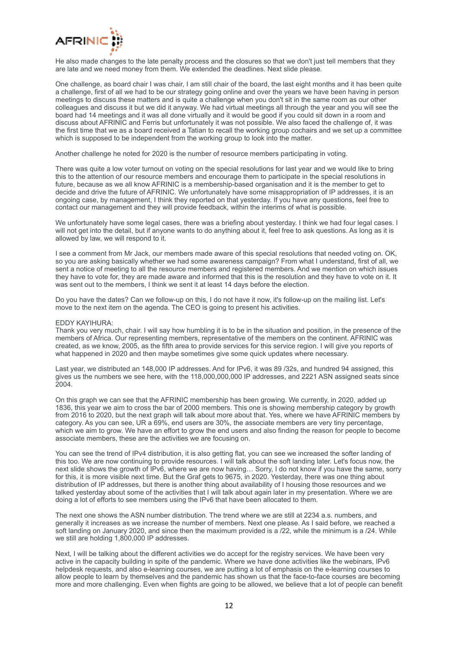

He also made changes to the late penalty process and the closures so that we don't just tell members that they are late and we need money from them. We extended the deadlines. Next slide please.

One challenge, as board chair I was chair, I am still chair of the board, the last eight months and it has been quite a challenge, first of all we had to be our strategy going online and over the years we have been having in person meetings to discuss these matters and is quite a challenge when you don't sit in the same room as our other colleagues and discuss it but we did it anyway. We had virtual meetings all through the year and you will see the board had 14 meetings and it was all done virtually and it would be good if you could sit down in a room and discuss about AFRINIC and Ferris but unfortunately it was not possible. We also faced the challenge of, it was the first time that we as a board received a Tatian to recall the working group cochairs and we set up a committee which is supposed to be independent from the working group to look into the matter.

Another challenge he noted for 2020 is the number of resource members participating in voting.

There was quite a low voter turnout on voting on the special resolutions for last year and we would like to bring this to the attention of our resource members and encourage them to participate in the special resolutions in future, because as we all know AFRINIC is a membership-based organisation and it is the member to get to decide and drive the future of AFRINIC. We unfortunately have some misappropriation of IP addresses, it is an ongoing case, by management, I think they reported on that yesterday. If you have any questions, feel free to contact our management and they will provide feedback, within the interims of what is possible.

We unfortunately have some legal cases, there was a briefing about yesterday. I think we had four legal cases. I will not get into the detail, but if anyone wants to do anything about it, feel free to ask questions. As long as it is allowed by law, we will respond to it.

I see a comment from Mr Jack, our members made aware of this special resolutions that needed voting on. OK, so you are asking basically whether we had some awareness campaign? From what I understand, first of all, we sent a notice of meeting to all the resource members and registered members. And we mention on which issues they have to vote for, they are made aware and informed that this is the resolution and they have to vote on it. It was sent out to the members, I think we sent it at least 14 days before the election.

Do you have the dates? Can we follow-up on this, I do not have it now, it's follow-up on the mailing list. Let's move to the next item on the agenda. The CEO is going to present his activities.

## EDDY KAYIHURA:

Thank you very much, chair. I will say how humbling it is to be in the situation and position, in the presence of the members of Africa. Our representing members, representative of the members on the continent. AFRINIC was created, as we know, 2005, as the fifth area to provide services for this service region. I will give you reports of what happened in 2020 and then maybe sometimes give some quick updates where necessary.

Last year, we distributed an 148,000 IP addresses. And for IPv6, it was 89 /32s, and hundred 94 assigned, this gives us the numbers we see here, with the 118,000,000,000 IP addresses, and 2221 ASN assigned seats since 2004.

On this graph we can see that the AFRINIC membership has been growing. We currently, in 2020, added up 1836, this year we aim to cross the bar of 2000 members. This one is showing membership category by growth from 2016 to 2020, but the next graph will talk about more about that. Yes, where we have AFRINIC members by category. As you can see, UR a 69%, end users are 30%, the associate members are very tiny percentage, which we aim to grow. We have an effort to grow the end users and also finding the reason for people to become associate members, these are the activities we are focusing on.

You can see the trend of IPv4 distribution, it is also getting flat, you can see we increased the softer landing of this too. We are now continuing to provide resources. I will talk about the soft landing later. Let's focus now, the next slide shows the growth of IPv6, where we are now having... Sorry, I do not know if you have the same, sorry for this, it is more visible next time. But the Graf gets to 9675, in 2020. Yesterday, there was one thing about distribution of IP addresses, but there is another thing about availability of I housing those resources and we talked yesterday about some of the activities that I will talk about again later in my presentation. Where we are doing a lot of efforts to see members using the IPv6 that have been allocated to them.

The next one shows the ASN number distribution. The trend where we are still at 2234 a.s. numbers, and generally it increases as we increase the number of members. Next one please. As I said before, we reached a soft landing on January 2020, and since then the maximum provided is a  $/22$ , while the minimum is a  $/24$ . While we still are holding 1,800,000 IP addresses.

Next, I will be talking about the different activities we do accept for the registry services. We have been very active in the capacity building in spite of the pandemic. Where we have done activities like the webinars, IPv6 helpdesk requests, and also e-learning courses, we are putting a lot of emphasis on the e-learning courses to allow people to learn by themselves and the pandemic has shown us that the face-to-face courses are becoming more and more challenging. Even when flights are going to be allowed, we believe that a lot of people can benefit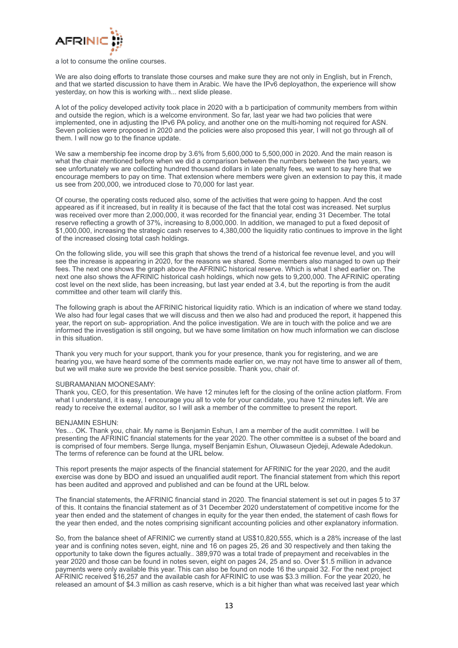

#### a lot to consume the online courses.

We are also doing efforts to translate those courses and make sure they are not only in English, but in French, and that we started discussion to have them in Arabic. We have the IPv6 deployathon, the experience will show yesterday, on how this is working with... next slide please.

A lot of the policy developed activity took place in 2020 with a b participation of community members from within and outside the region, which is a welcome environment. So far, last year we had two policies that were implemented, one in adjusting the IPv6 PA policy, and another one on the multi-homing not required for ASN. Seven policies were proposed in 2020 and the policies were also proposed this year, I will not go through all of them. I will now go to the finance update.

We saw a membership fee income drop by 3.6% from 5.600,000 to 5.500,000 in 2020. And the main reason is what the chair mentioned before when we did a comparison between the numbers between the two years, we see unfortunately we are collecting hundred thousand dollars in late penalty fees, we want to say here that we encourage members to pay on time. That extension where members were given an extension to pay this, it made us see from 200,000, we introduced close to 70,000 for last year.

Of course, the operating costs reduced also, some of the activities that were going to happen. And the cost appeared as if it increased, but in reality it is because of the fact that the total cost was increased. Net surplus was received over more than 2,000,000, it was recorded for the financial year, ending 31 December. The total reserve reflecting a growth of 37%, increasing to 8,000,000. In addition, we managed to put a fixed deposit of \$1,000,000, increasing the strategic cash reserves to 4,380,000 the liquidity ratio continues to improve in the light of the increased closing total cash holdings.

On the following slide, you will see this graph that shows the trend of a historical fee revenue level, and you will see the increase is appearing in 2020, for the reasons we shared. Some members also managed to own up their fees. The next one shows the graph above the AFRINIC historical reserve. Which is what I shed earlier on. The next one also shows the AFRINIC historical cash holdings, which now gets to 9,200,000. The AFRINIC operating cost level on the next slide, has been increasing, but last year ended at 3.4, but the reporting is from the audit committee and other team will clarify this.

The following graph is about the AFRINIC historical liquidity ratio. Which is an indication of where we stand today. We also had four legal cases that we will discuss and then we also had and produced the report, it happened this year, the report on sub- appropriation. And the police investigation. We are in touch with the police and we are informed the investigation is still ongoing, but we have some limitation on how much information we can disclose in this situation.

Thank you very much for your support, thank you for your presence, thank you for registering, and we are hearing you, we have heard some of the comments made earlier on, we may not have time to answer all of them, but we will make sure we provide the best service possible. Thank you, chair of.

#### SUBRAMANIAN MOONESAMY:

Thank you, CEO, for this presentation. We have 12 minutes left for the closing of the online action platform. From what I understand, it is easy, I encourage you all to vote for your candidate, you have 12 minutes left. We are ready to receive the external auditor, so I will ask a member of the committee to present the report.

#### BENJAMIN ESHUN:

Yes… OK. Thank you, chair. My name is Benjamin Eshun, I am a member of the audit committee. I will be presenting the AFRINIC financial statements for the year 2020. The other committee is a subset of the board and is comprised of four members. Serge Ilunga, myself Benjamin Eshun, Oluwaseun Ojedeji, Adewale Adedokun. The terms of reference can be found at the URL below.

This report presents the major aspects of the financial statement for AFRINIC for the year 2020, and the audit exercise was done by BDO and issued an unqualified audit report. The financial statement from which this report has been audited and approved and published and can be found at the URL below.

The financial statements, the AFRINIC financial stand in 2020. The financial statement is set out in pages 5 to 37 of this. It contains the financial statement as of 31 December 2020 understatement of competitive income for the year then ended and the statement of changes in equity for the year then ended, the statement of cash flows for the year then ended, and the notes comprising significant accounting policies and other explanatory information.

So, from the balance sheet of AFRINIC we currently stand at US\$10,820,555, which is a 28% increase of the last year and is confining notes seven, eight, nine and 16 on pages 25, 26 and 30 respectively and then taking the opportunity to take down the figures actually.. 389,970 was a total trade of prepayment and receivables in the year 2020 and those can be found in notes seven, eight on pages 24, 25 and so. Over \$1.5 million in advance payments were only available this year. This can also be found on node 16 the unpaid 32. For the next project AFRINIC received \$16,257 and the available cash for AFRINIC to use was \$3.3 million. For the year 2020, he released an amount of \$4.3 million as cash reserve, which is a bit higher than what was received last year which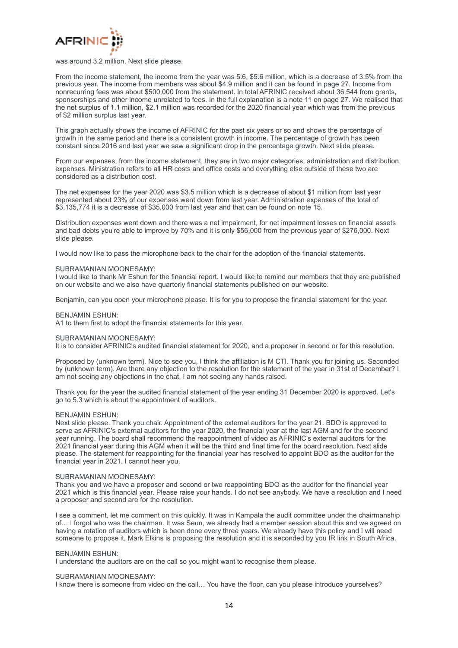

was around 3.2 million. Next slide please.

From the income statement, the income from the year was 5.6, \$5.6 million, which is a decrease of 3.5% from the previous year. The income from members was about \$4.9 million and it can be found in page 27. Income from nonrecurring fees was about \$500,000 from the statement. In total AFRINIC received about 36,544 from grants, sponsorships and other income unrelated to fees. In the full explanation is a note 11 on page 27. We realised that the net surplus of 1.1 million, \$2.1 million was recorded for the 2020 financial year which was from the previous of \$2 million surplus last year.

This graph actually shows the income of AFRINIC for the past six years or so and shows the percentage of growth in the same period and there is a consistent growth in income. The percentage of growth has been constant since 2016 and last year we saw a significant drop in the percentage growth. Next slide please.

From our expenses, from the income statement, they are in two major categories, administration and distribution expenses. Ministration refers to all HR costs and office costs and everything else outside of these two are considered as a distribution cost.

The net expenses for the year 2020 was \$3.5 million which is a decrease of about \$1 million from last year represented about 23% of our expenses went down from last year. Administration expenses of the total of \$3,135,774 it is a decrease of \$35,000 from last year and that can be found on note 15.

Distribution expenses went down and there was a net impairment, for net impairment losses on financial assets and bad debts you're able to improve by 70% and it is only \$56,000 from the previous year of \$276,000. Next slide please.

I would now like to pass the microphone back to the chair for the adoption of the financial statements.

## SUBRAMANIAN MOONESAMY:

I would like to thank Mr Eshun for the financial report. I would like to remind our members that they are published on our website and we also have quarterly financial statements published on our website.

Benjamin, can you open your microphone please. It is for you to propose the financial statement for the year.

## BENJAMIN ESHUN:

A1 to them first to adopt the financial statements for this year.

#### SUBRAMANIAN MOONESAMY:

It is to consider AFRINIC's audited financial statement for 2020, and a proposer in second or for this resolution.

Proposed by (unknown term). Nice to see you, I think the affiliation is M CTI. Thank you for joining us. Seconded by (unknown term). Are there any objection to the resolution for the statement of the year in 31st of December? I am not seeing any objections in the chat, I am not seeing any hands raised.

Thank you for the year the audited financial statement of the year ending 31 December 2020 is approved. Let's go to 5.3 which is about the appointment of auditors.

#### BENJAMIN ESHUN:

Next slide please. Thank you chair. Appointment of the external auditors for the year 21. BDO is approved to serve as AFRINIC's external auditors for the year 2020, the financial year at the last AGM and for the second year running. The board shall recommend the reappointment of video as AFRINIC's external auditors for the 2021 financial year during this AGM when it will be the third and final time for the board resolution. Next slide please. The statement for reappointing for the financial year has resolved to appoint BDO as the auditor for the financial year in 2021. I cannot hear you.

## SUBRAMANIAN MOONESAMY:

Thank you and we have a proposer and second or two reappointing BDO as the auditor for the financial year 2021 which is this financial year. Please raise your hands. I do not see anybody. We have a resolution and I need a proposer and second are for the resolution.

I see a comment, let me comment on this quickly. It was in Kampala the audit committee under the chairmanship of… I forgot who was the chairman. It was Seun, we already had a member session about this and we agreed on having a rotation of auditors which is been done every three years. We already have this policy and I will need someone to propose it, Mark Elkins is proposing the resolution and it is seconded by you IR link in South Africa.

#### BENJAMIN ESHUN:

I understand the auditors are on the call so you might want to recognise them please.

## SUBRAMANIAN MOONESAMY:

I know there is someone from video on the call… You have the floor, can you please introduce yourselves?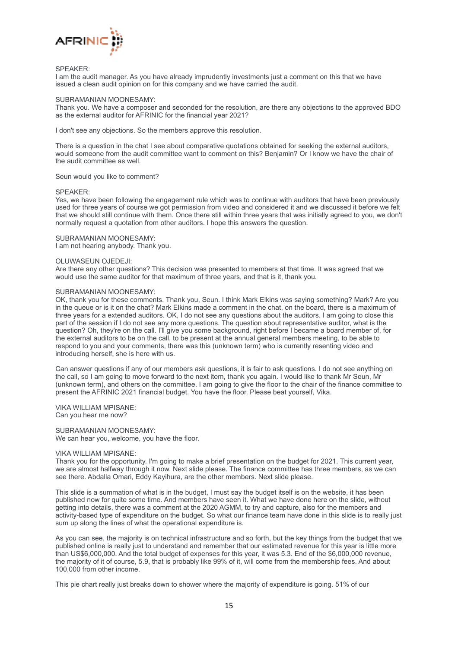

### SPEAKER:

I am the audit manager. As you have already imprudently investments just a comment on this that we have issued a clean audit opinion on for this company and we have carried the audit.

## SUBRAMANIAN MOONESAMY:

Thank you. We have a composer and seconded for the resolution, are there any objections to the approved BDO as the external auditor for AFRINIC for the financial year 2021?

I don't see any objections. So the members approve this resolution.

There is a question in the chat I see about comparative quotations obtained for seeking the external auditors, would someone from the audit committee want to comment on this? Benjamin? Or I know we have the chair of the audit committee as well.

## Seun would you like to comment?

## SPEAKER:

Yes, we have been following the engagement rule which was to continue with auditors that have been previously used for three years of course we got permission from video and considered it and we discussed it before we felt that we should still continue with them. Once there still within three years that was initially agreed to you, we don't normally request a quotation from other auditors. I hope this answers the question.

## SUBRAMANIAN MOONESAMY:

I am not hearing anybody. Thank you.

## OLUWASEUN OJEDEJI:

Are there any other questions? This decision was presented to members at that time. It was agreed that we would use the same auditor for that maximum of three years, and that is it, thank you.

## SUBRAMANIAN MOONESAMY:

OK, thank you for these comments. Thank you, Seun. I think Mark Elkins was saying something? Mark? Are you in the queue or is it on the chat? Mark Elkins made a comment in the chat, on the board, there is a maximum of three years for a extended auditors. OK, I do not see any questions about the auditors. I am going to close this part of the session if I do not see any more questions. The question about representative auditor, what is the question? Oh, they're on the call. I'll give you some background, right before I became a board member of, for the external auditors to be on the call, to be present at the annual general members meeting, to be able to respond to you and your comments, there was this (unknown term) who is currently resenting video and introducing herself, she is here with us.

Can answer questions if any of our members ask questions, it is fair to ask questions. I do not see anything on the call, so I am going to move forward to the next item, thank you again. I would like to thank Mr Seun, Mr (unknown term), and others on the committee. I am going to give the floor to the chair of the finance committee to present the AFRINIC 2021 financial budget. You have the floor. Please beat yourself, Vika.

VIKA WILLIAM MPISANE: Can you hear me now?

SUBRAMANIAN MOONESAMY: We can hear you, welcome, you have the floor.

### VIKA WILLIAM MPISANE:

Thank you for the opportunity. I'm going to make a brief presentation on the budget for 2021. This current year, we are almost halfway through it now. Next slide please. The finance committee has three members, as we can see there. Abdalla Omari, Eddy Kayihura, are the other members. Next slide please.

This slide is a summation of what is in the budget, I must say the budget itself is on the website, it has been published now for quite some time. And members have seen it. What we have done here on the slide, without getting into details, there was a comment at the 2020 AGMM, to try and capture, also for the members and activity-based type of expenditure on the budget. So what our finance team have done in this slide is to really just sum up along the lines of what the operational expenditure is.

As you can see, the majority is on technical infrastructure and so forth, but the key things from the budget that we published online is really just to understand and remember that our estimated revenue for this year is little more than US\$6,000,000. And the total budget of expenses for this year, it was 5.3. End of the \$6,000,000 revenue, the majority of it of course, 5.9, that is probably like 99% of it, will come from the membership fees. And about 100,000 from other income.

This pie chart really just breaks down to shower where the majority of expenditure is going. 51% of our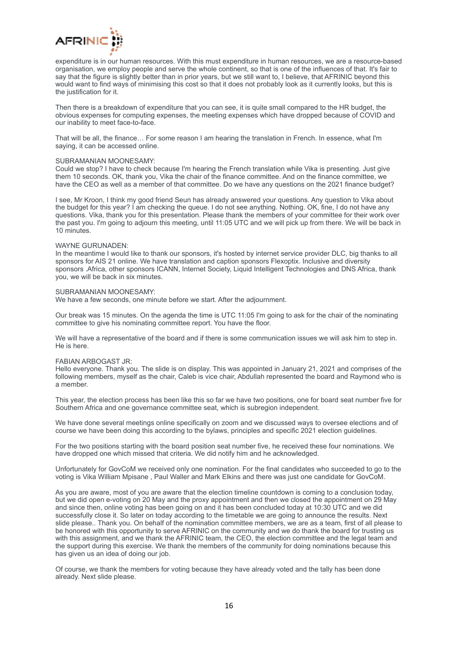

expenditure is in our human resources. With this must expenditure in human resources, we are a resource-based organisation, we employ people and serve the whole continent, so that is one of the influences of that. It's fair to say that the figure is slightly better than in prior years, but we still want to, I believe, that AFRINIC beyond this would want to find ways of minimising this cost so that it does not probably look as it currently looks, but this is the justification for it.

Then there is a breakdown of expenditure that you can see, it is quite small compared to the HR budget, the obvious expenses for computing expenses, the meeting expenses which have dropped because of COVID and our inability to meet face-to-face.

That will be all, the finance… For some reason I am hearing the translation in French. In essence, what I'm saying, it can be accessed online.

## SUBRAMANIAN MOONESAMY:

Could we stop? I have to check because I'm hearing the French translation while Vika is presenting. Just give them 10 seconds. OK, thank you, Vika the chair of the finance committee. And on the finance committee, we have the CEO as well as a member of that committee. Do we have any questions on the 2021 finance budget?

I see, Mr Kroon, I think my good friend Seun has already answered your questions. Any question to Vika about the budget for this year? I am checking the queue. I do not see anything. Nothing. OK, fine, I do not have any questions. Vika, thank you for this presentation. Please thank the members of your committee for their work over the past you. I'm going to adjourn this meeting, until 11:05 UTC and we will pick up from there. We will be back in 10 minutes.

## WAYNE GURUNADEN:

In the meantime I would like to thank our sponsors, it's hosted by internet service provider DLC, big thanks to all sponsors for AIS 21 online. We have translation and caption sponsors Flexoptix. Inclusive and diversity sponsors .Africa, other sponsors ICANN, Internet Society, Liquid Intelligent Technologies and DNS Africa, thank you, we will be back in six minutes.

## SUBRAMANIAN MOONESAMY:

We have a few seconds, one minute before we start. After the adjournment.

Our break was 15 minutes. On the agenda the time is UTC 11:05 I'm going to ask for the chair of the nominating committee to give his nominating committee report. You have the floor.

We will have a representative of the board and if there is some communication issues we will ask him to step in. He is here.

#### FABIAN ARBOGAST JR:

Hello everyone. Thank you. The slide is on display. This was appointed in January 21, 2021 and comprises of the following members, myself as the chair, Caleb is vice chair, Abdullah represented the board and Raymond who is a member.

This year, the election process has been like this so far we have two positions, one for board seat number five for Southern Africa and one governance committee seat, which is subregion independent.

We have done several meetings online specifically on zoom and we discussed ways to oversee elections and of course we have been doing this according to the bylaws, principles and specific 2021 election guidelines.

For the two positions starting with the board position seat number five, he received these four nominations. We have dropped one which missed that criteria. We did notify him and he acknowledged.

Unfortunately for GovCoM we received only one nomination. For the final candidates who succeeded to go to the voting is Vika William Mpisane , Paul Waller and Mark Elkins and there was just one candidate for GovCoM.

As you are aware, most of you are aware that the election timeline countdown is coming to a conclusion today, but we did open e-voting on 20 May and the proxy appointment and then we closed the appointment on 29 May and since then, online voting has been going on and it has been concluded today at 10:30 UTC and we did successfully close it. So later on today according to the timetable we are going to announce the results. Next slide please.. Thank you. On behalf of the nomination committee members, we are as a team, first of all please to be honored with this opportunity to serve AFRINIC on the community and we do thank the board for trusting us with this assignment, and we thank the AFRINIC team, the CEO, the election committee and the legal team and the support during this exercise. We thank the members of the community for doing nominations because this has given us an idea of doing our job.

Of course, we thank the members for voting because they have already voted and the tally has been done already. Next slide please.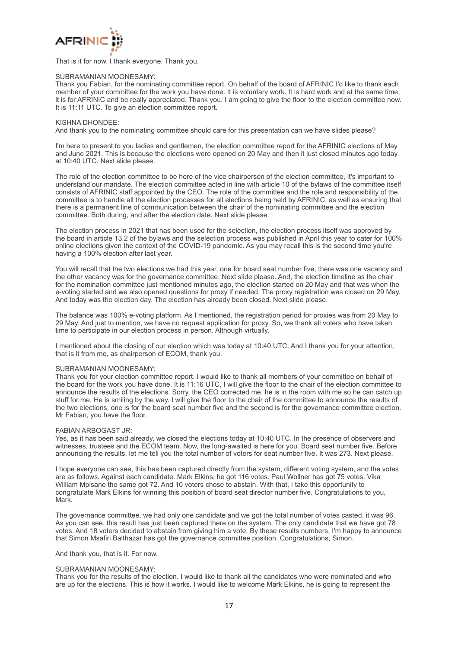

That is it for now. I thank everyone. Thank you.

## SUBRAMANIAN MOONESAMY:

Thank you Fabian, for the nominating committee report. On behalf of the board of AFRINIC I'd like to thank each member of your committee for the work you have done. It is voluntary work. It is hard work and at the same time, it is for AFRINIC and be really appreciated. Thank you. I am going to give the floor to the election committee now. It is 11:11 UTC. To give an election committee report.

## KISHNA DHONDEE:

And thank you to the nominating committee should care for this presentation can we have slides please?

I'm here to present to you ladies and gentlemen, the election committee report for the AFRINIC elections of May and June 2021. This is because the elections were opened on 20 May and then it just closed minutes ago today at 10:40 UTC. Next slide please.

The role of the election committee to be here of the vice chairperson of the election committee, it's important to understand our mandate. The election committee acted in line with article 10 of the bylaws of the committee itself consists of AFRINIC staff appointed by the CEO. The role of the committee and the role and responsibility of the committee is to handle all the election processes for all elections being held by AFRINIC, as well as ensuring that there is a permanent line of communication between the chair of the nominating committee and the election committee. Both during, and after the election date. Next slide please.

The election process in 2021 that has been used for the selection, the election process itself was approved by the board in article 13.2 of the bylaws and the selection process was published in April this year to cater for 100% online elections given the context of the COVID-19 pandemic. As you may recall this is the second time you're having a 100% election after last year.

You will recall that the two elections we had this year, one for board seat number five, there was one vacancy and the other vacancy was for the governance committee. Next slide please. And, the election timeline as the chair for the nomination committee just mentioned minutes ago, the election started on 20 May and that was when the e-voting started and we also opened questions for proxy if needed. The proxy registration was closed on 29 May. And today was the election day. The election has already been closed. Next slide please.

The balance was 100% e-voting platform. As I mentioned, the registration period for proxies was from 20 May to 29 May. And just to mention, we have no request application for proxy. So, we thank all voters who have taken time to participate in our election process in person. Although virtually.

I mentioned about the closing of our election which was today at 10:40 UTC. And I thank you for your attention, that is it from me, as chairperson of ECOM, thank you.

#### SUBRAMANIAN MOONESAMY:

Thank you for your election committee report. I would like to thank all members of your committee on behalf of the board for the work you have done. It is 11:16 UTC, I will give the floor to the chair of the election committee to announce the results of the elections. Sorry, the CEO corrected me, he is in the room with me so he can catch up stuff for me. He is smiling by the way. I will give the floor to the chair of the committee to announce the results of the two elections, one is for the board seat number five and the second is for the governance committee election. Mr Fabian, you have the floor.

#### FABIAN ARBOGAST JR:

Yes, as it has been said already, we closed the elections today at 10:40 UTC. In the presence of observers and witnesses, trustees and the ECOM team. Now, the long-awaited is here for you. Board seat number five. Before announcing the results, let me tell you the total number of voters for seat number five. It was 273. Next please.

I hope everyone can see, this has been captured directly from the system, different voting system, and the votes are as follows. Against each candidate. Mark Elkins, he got 116 votes. Paul Wollner has got 75 votes. Vika William Mpisane the same got 72. And 10 voters chose to abstain. With that, I take this opportunity to congratulate Mark Elkins for winning this position of board seat director number five. Congratulations to you, Mark.

The governance committee, we had only one candidate and we got the total number of votes casted, it was 96. As you can see, this result has just been captured there on the system. The only candidate that we have got 78 votes. And 18 voters decided to abstain from giving him a vote. By these results numbers, I'm happy to announce that Simon Msafiri Balthazar has got the governance committee position. Congratulations, Simon.

#### And thank you, that is it. For now.

## SUBRAMANIAN MOONESAMY:

Thank you for the results of the election. I would like to thank all the candidates who were nominated and who are up for the elections. This is how it works. I would like to welcome Mark Elkins, he is going to represent the